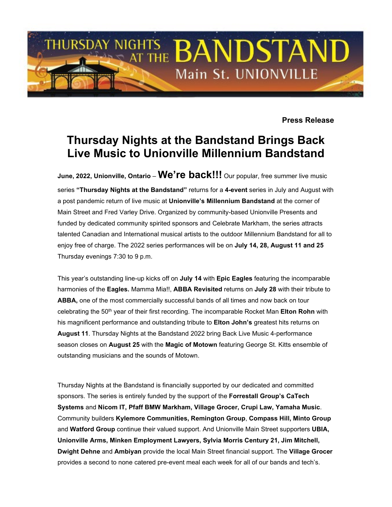

**Press Release**

## **Thursday Nights at the Bandstand Brings Back Live Music to Unionville Millennium Bandstand**

**June, 2022, Unionville, Ontario** – **We're back!!!** Our popular, free summer live music series **"Thursday Nights at the Bandstand"** returns for a **4-event** series in July and August with a post pandemic return of live music at **Unionville's Millennium Bandstand** at the corner of Main Street and Fred Varley Drive. Organized by community-based Unionville Presents and funded by dedicated community spirited sponsors and Celebrate Markham, the series attracts talented Canadian and International musical artists to the outdoor Millennium Bandstand for all to enjoy free of charge. The 2022 series performances will be on **July 14, 28, August 11 and 25**  Thursday evenings 7:30 to 9 p.m.

This year's outstanding line-up kicks off on **July 14** with **Epic Eagles** featuring the incomparable harmonies of the **Eagles.** Mamma Mia!!, **ABBA Revisited** returns on **July 28** with their tribute to **ABBA,** one of the most commercially successful bands of all times and now back on tour celebrating the 50<sup>th</sup> year of their first recording. The incomparable Rocket Man **Elton Rohn** with his magnificent performance and outstanding tribute to **Elton John's** greatest hits returns on **August 11**. Thursday Nights at the Bandstand 2022 bring Back Live Music 4-performance season closes on **August 25** with the **Magic of Motown** featuring George St. Kitts ensemble of outstanding musicians and the sounds of Motown.

Thursday Nights at the Bandstand is financially supported by our dedicated and committed sponsors. The series is entirely funded by the support of the **Forrestall Group's CaTech Systems** and **Nicom IT, Pfaff BMW Markham, Village Grocer, Crupi Law, Yamaha Music**. Community builders **Kylemore Communities, Remington Group**, **Compass Hill, Minto Group**  and **Watford Group** continue their valued support. And Unionville Main Street supporters **UBIA, Unionville Arms, Minken Employment Lawyers, Sylvia Morris Century 21, Jim Mitchell, Dwight Dehne** and **Ambiyan** provide the local Main Street financial support. The **Village Grocer** provides a second to none catered pre-event meal each week for all of our bands and tech's.